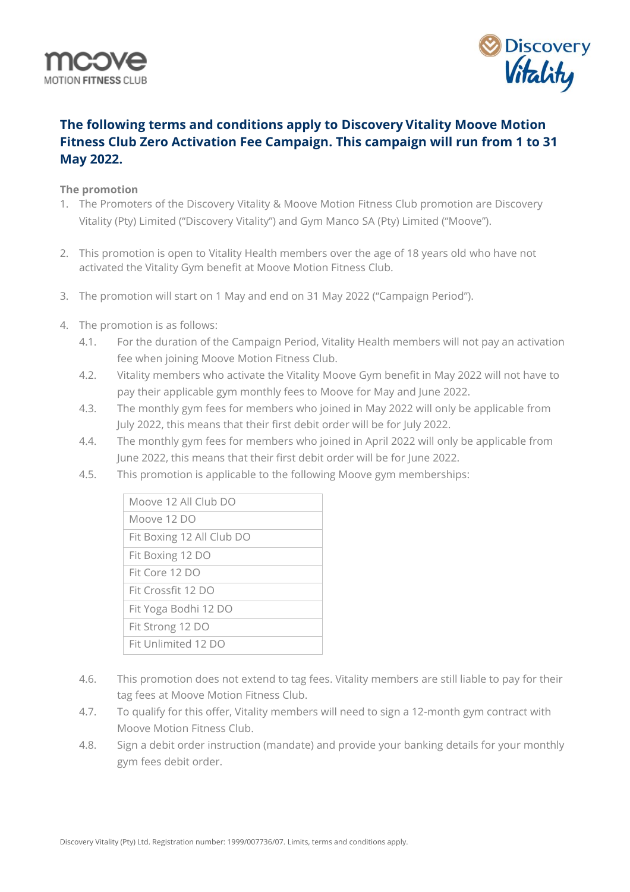



## **The following terms and conditions apply to Discovery Vitality Moove Motion Fitness Club Zero Activation Fee Campaign. This campaign will run from 1 to 31 May 2022.**

## **The promotion**

- 1. The Promoters of the Discovery Vitality & Moove Motion Fitness Club promotion are Discovery Vitality (Pty) Limited ("Discovery Vitality") and Gym Manco SA (Pty) Limited ("Moove").
- 2. This promotion is open to Vitality Health members over the age of 18 years old who have not activated the Vitality Gym benefit at Moove Motion Fitness Club.
- 3. The promotion will start on 1 May and end on 31 May 2022 ("Campaign Period").
- 4. The promotion is as follows:
	- 4.1. For the duration of the Campaign Period, Vitality Health members will not pay an activation fee when joining Moove Motion Fitness Club.
	- 4.2. Vitality members who activate the Vitality Moove Gym benefit in May 2022 will not have to pay their applicable gym monthly fees to Moove for May and June 2022.
	- 4.3. The monthly gym fees for members who joined in May 2022 will only be applicable from July 2022, this means that their first debit order will be for July 2022.
	- 4.4. The monthly gym fees for members who joined in April 2022 will only be applicable from June 2022, this means that their first debit order will be for June 2022.
	- 4.5. This promotion is applicable to the following Moove gym memberships:

| Moove 12 All Club DO      |
|---------------------------|
| Moove 12 DO               |
| Fit Boxing 12 All Club DO |
| Fit Boxing 12 DO          |
| Fit Core 12 DO            |
| Fit Crossfit 12 DO        |
| Fit Yoga Bodhi 12 DO      |
| Fit Strong 12 DO          |
| Fit Unlimited 12 DO       |
|                           |

- 4.6. This promotion does not extend to tag fees. Vitality members are still liable to pay for their tag fees at Moove Motion Fitness Club.
- 4.7. To qualify for this offer, Vitality members will need to sign a 12-month gym contract with Moove Motion Fitness Club.
- 4.8. Sign a debit order instruction (mandate) and provide your banking details for your monthly gym fees debit order.